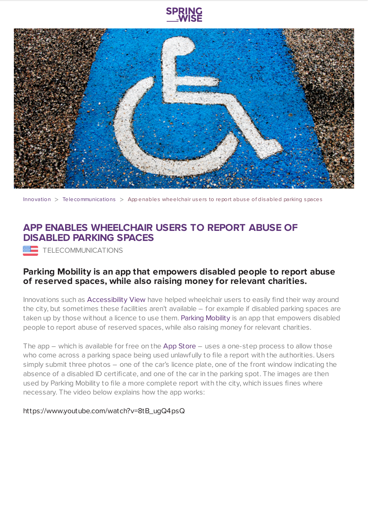



[Innovation](https://www.springwise.com/search?type=innovation)  $>$  [Telecommunications](https://www.springwise.com/search?type=innovation§or=telecoms-tech)  $>$  App enables wheelchair users to report abuse of disabled parking spaces

## **APP ENABLES WHEELCHAIR USERS TO REPORT ABUSE OF DISABLED PARKING SPACES**

TELECOMMUNICATIONS

## **Parking Mobility is an app that empowers disabled people to report abuse of reserved spaces, while also raising money for relevant charities.**

Innovations such as [Accessibility](https://www.springwise.com/app-disabled-find-accessible-routes-sao-paulo/) View have helped wheelchair users to easily find their way around the city, but sometimes these facilities aren't available – for example if disabled parking spaces are taken up by those without a licence to use them. Parking [Mobility](http://www.parkingmobility.com/) is an app that empowers disabled people to report abuse of reserved spaces, while also raising money for relevant charities.

The app  $-$  which is available for free on the App [Store](https://itunes.apple.com/ca/app/parking-mobility/id337141354?mt=8)  $-$  uses a one-step process to allow those who come across a parking space being used unlawfully to file a report with the authorities. Users simply submit three photos – one of the car's licence plate, one of the front window indicating the absence of a disabled ID certificate, and one of the car in the parking spot. The images are then used by Parking Mobility to file a more complete report with the city, which issues fines where necessary. The video below explains how the app works:

## https://www.youtube.com/watch?v=8tB\_ugQ4psQ